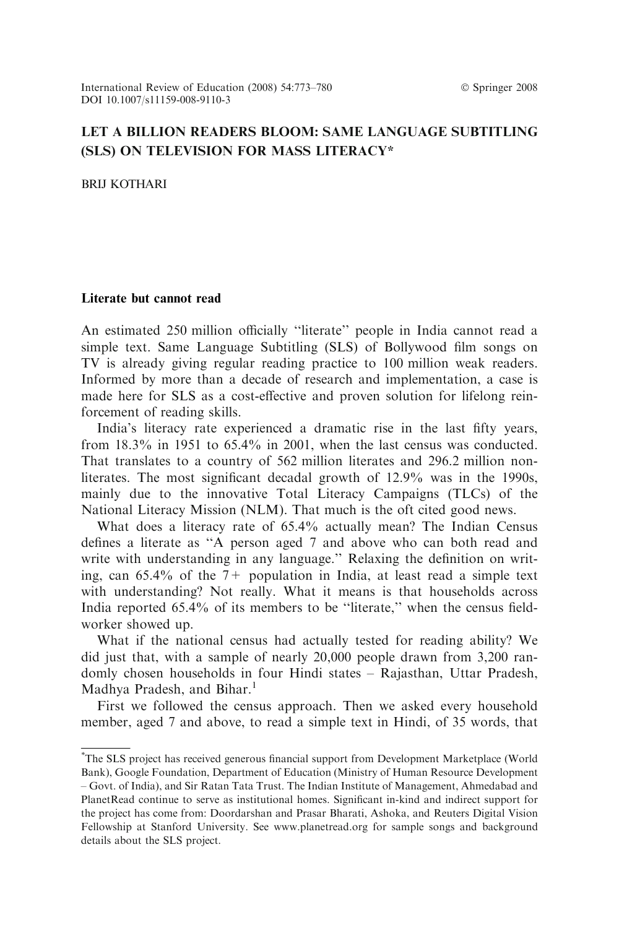# LET A BILLION READERS BLOOM: SAME LANGUAGE SUBTITLING (SLS) ON TELEVISION FOR MASS LITERACY\*

BRIJ KOTHARI

#### Literate but cannot read

An estimated 250 million officially ''literate'' people in India cannot read a simple text. Same Language Subtitling (SLS) of Bollywood film songs on TV is already giving regular reading practice to 100 million weak readers. Informed by more than a decade of research and implementation, a case is made here for SLS as a cost-effective and proven solution for lifelong reinforcement of reading skills.

India's literacy rate experienced a dramatic rise in the last fifty years, from 18.3% in 1951 to 65.4% in 2001, when the last census was conducted. That translates to a country of 562 million literates and 296.2 million nonliterates. The most significant decadal growth of 12.9% was in the 1990s, mainly due to the innovative Total Literacy Campaigns (TLCs) of the National Literacy Mission (NLM). That much is the oft cited good news.

What does a literacy rate of 65.4% actually mean? The Indian Census defines a literate as ''A person aged 7 and above who can both read and write with understanding in any language." Relaxing the definition on writing, can  $65.4\%$  of the  $7+$  population in India, at least read a simple text with understanding? Not really. What it means is that households across India reported 65.4% of its members to be ''literate,'' when the census fieldworker showed up.

What if the national census had actually tested for reading ability? We did just that, with a sample of nearly 20,000 people drawn from 3,200 randomly chosen households in four Hindi states – Rajasthan, Uttar Pradesh, Madhya Pradesh, and Bihar.<sup>1</sup>

First we followed the census approach. Then we asked every household member, aged 7 and above, to read a simple text in Hindi, of 35 words, that

<sup>\*</sup> The SLS project has received generous financial support from Development Marketplace (World Bank), Google Foundation, Department of Education (Ministry of Human Resource Development – Govt. of India), and Sir Ratan Tata Trust. The Indian Institute of Management, Ahmedabad and PlanetRead continue to serve as institutional homes. Significant in-kind and indirect support for the project has come from: Doordarshan and Prasar Bharati, Ashoka, and Reuters Digital Vision Fellowship at Stanford University. See www.planetread.org for sample songs and background details about the SLS project.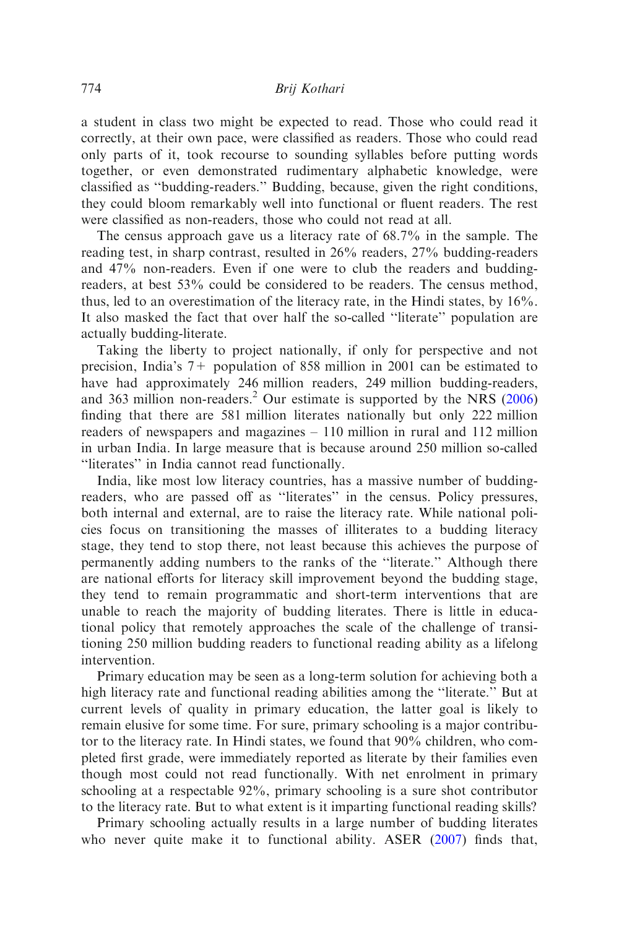a student in class two might be expected to read. Those who could read it correctly, at their own pace, were classified as readers. Those who could read only parts of it, took recourse to sounding syllables before putting words together, or even demonstrated rudimentary alphabetic knowledge, were classified as ''budding-readers.'' Budding, because, given the right conditions, they could bloom remarkably well into functional or fluent readers. The rest were classified as non-readers, those who could not read at all.

The census approach gave us a literacy rate of 68.7% in the sample. The reading test, in sharp contrast, resulted in 26% readers, 27% budding-readers and 47% non-readers. Even if one were to club the readers and buddingreaders, at best 53% could be considered to be readers. The census method, thus, led to an overestimation of the literacy rate, in the Hindi states, by 16%. It also masked the fact that over half the so-called ''literate'' population are actually budding-literate.

Taking the liberty to project nationally, if only for perspective and not precision, India's  $7+$  population of 858 million in 2001 can be estimated to have had approximately 246 million readers, 249 million budding-readers, and 363 million non-readers.<sup>2</sup> Our estimate is supported by the NRS  $(2006)$  $(2006)$ finding that there are 581 million literates nationally but only 222 million readers of newspapers and magazines – 110 million in rural and 112 million in urban India. In large measure that is because around 250 million so-called ''literates'' in India cannot read functionally.

India, like most low literacy countries, has a massive number of buddingreaders, who are passed off as ''literates'' in the census. Policy pressures, both internal and external, are to raise the literacy rate. While national policies focus on transitioning the masses of illiterates to a budding literacy stage, they tend to stop there, not least because this achieves the purpose of permanently adding numbers to the ranks of the ''literate.'' Although there are national efforts for literacy skill improvement beyond the budding stage, they tend to remain programmatic and short-term interventions that are unable to reach the majority of budding literates. There is little in educational policy that remotely approaches the scale of the challenge of transitioning 250 million budding readers to functional reading ability as a lifelong intervention.

Primary education may be seen as a long-term solution for achieving both a high literacy rate and functional reading abilities among the ''literate.'' But at current levels of quality in primary education, the latter goal is likely to remain elusive for some time. For sure, primary schooling is a major contributor to the literacy rate. In Hindi states, we found that 90% children, who completed first grade, were immediately reported as literate by their families even though most could not read functionally. With net enrolment in primary schooling at a respectable 92%, primary schooling is a sure shot contributor to the literacy rate. But to what extent is it imparting functional reading skills?

Primary schooling actually results in a large number of budding literates who never quite make it to functional ability. ASER ([2007](#page-6-0)) finds that,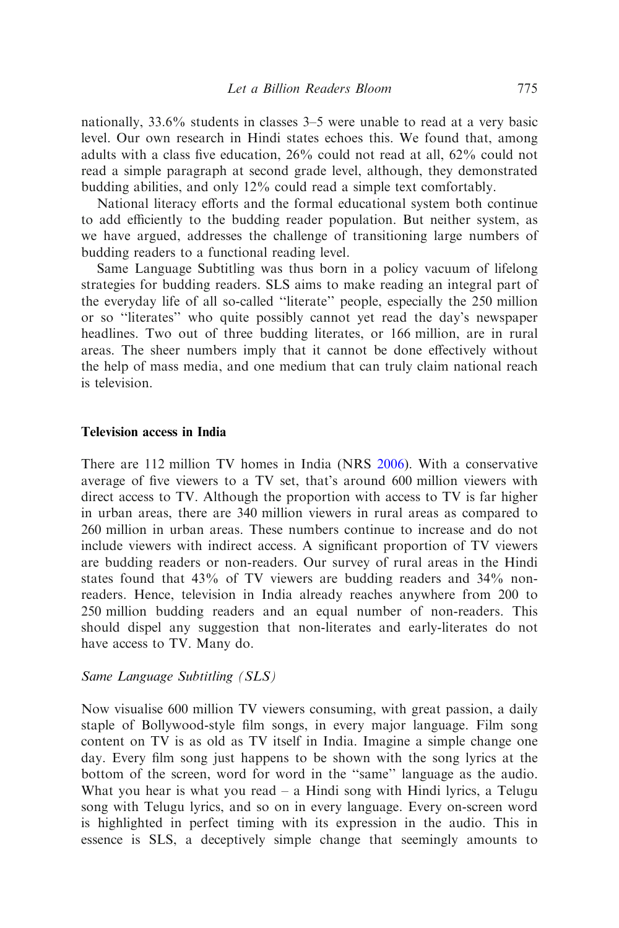nationally, 33.6% students in classes 3–5 were unable to read at a very basic level. Our own research in Hindi states echoes this. We found that, among adults with a class five education, 26% could not read at all, 62% could not read a simple paragraph at second grade level, although, they demonstrated budding abilities, and only 12% could read a simple text comfortably.

National literacy efforts and the formal educational system both continue to add efficiently to the budding reader population. But neither system, as we have argued, addresses the challenge of transitioning large numbers of budding readers to a functional reading level.

Same Language Subtitling was thus born in a policy vacuum of lifelong strategies for budding readers. SLS aims to make reading an integral part of the everyday life of all so-called ''literate'' people, especially the 250 million or so ''literates'' who quite possibly cannot yet read the day's newspaper headlines. Two out of three budding literates, or 166 million, are in rural areas. The sheer numbers imply that it cannot be done effectively without the help of mass media, and one medium that can truly claim national reach is television.

### Television access in India

There are 112 million TV homes in India (NRS [2006](#page-6-0)). With a conservative average of five viewers to a TV set, that's around 600 million viewers with direct access to TV. Although the proportion with access to TV is far higher in urban areas, there are 340 million viewers in rural areas as compared to 260 million in urban areas. These numbers continue to increase and do not include viewers with indirect access. A significant proportion of TV viewers are budding readers or non-readers. Our survey of rural areas in the Hindi states found that 43% of TV viewers are budding readers and 34% nonreaders. Hence, television in India already reaches anywhere from 200 to 250 million budding readers and an equal number of non-readers. This should dispel any suggestion that non-literates and early-literates do not have access to TV. Many do.

## Same Language Subtitling (SLS)

Now visualise 600 million TV viewers consuming, with great passion, a daily staple of Bollywood-style film songs, in every major language. Film song content on TV is as old as TV itself in India. Imagine a simple change one day. Every film song just happens to be shown with the song lyrics at the bottom of the screen, word for word in the ''same'' language as the audio. What you hear is what you read – a Hindi song with Hindi lyrics, a Telugu song with Telugu lyrics, and so on in every language. Every on-screen word is highlighted in perfect timing with its expression in the audio. This in essence is SLS, a deceptively simple change that seemingly amounts to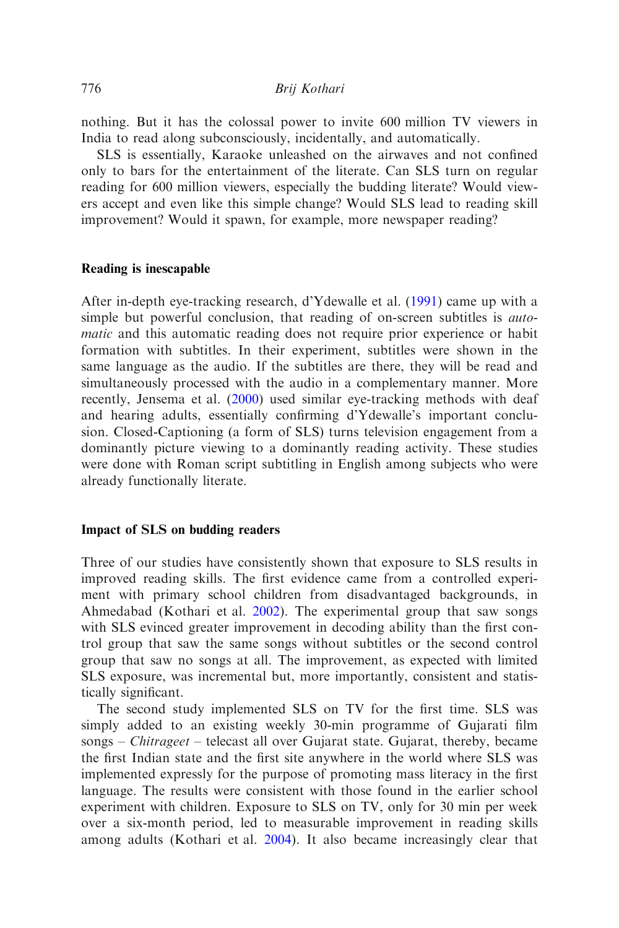nothing. But it has the colossal power to invite 600 million TV viewers in India to read along subconsciously, incidentally, and automatically.

SLS is essentially, Karaoke unleashed on the airwaves and not confined only to bars for the entertainment of the literate. Can SLS turn on regular reading for 600 million viewers, especially the budding literate? Would viewers accept and even like this simple change? Would SLS lead to reading skill improvement? Would it spawn, for example, more newspaper reading?

#### Reading is inescapable

After in-depth eye-tracking research, d'Ydewalle et al. ([1991\)](#page-6-0) came up with a simple but powerful conclusion, that reading of on-screen subtitles is *auto*matic and this automatic reading does not require prior experience or habit formation with subtitles. In their experiment, subtitles were shown in the same language as the audio. If the subtitles are there, they will be read and simultaneously processed with the audio in a complementary manner. More recently, Jensema et al. ([2000\)](#page-6-0) used similar eye-tracking methods with deaf and hearing adults, essentially confirming d'Ydewalle's important conclusion. Closed-Captioning (a form of SLS) turns television engagement from a dominantly picture viewing to a dominantly reading activity. These studies were done with Roman script subtitling in English among subjects who were already functionally literate.

### Impact of SLS on budding readers

Three of our studies have consistently shown that exposure to SLS results in improved reading skills. The first evidence came from a controlled experiment with primary school children from disadvantaged backgrounds, in Ahmedabad (Kothari et al. [2002](#page-6-0)). The experimental group that saw songs with SLS evinced greater improvement in decoding ability than the first control group that saw the same songs without subtitles or the second control group that saw no songs at all. The improvement, as expected with limited SLS exposure, was incremental but, more importantly, consistent and statistically significant.

The second study implemented SLS on TV for the first time. SLS was simply added to an existing weekly 30-min programme of Gujarati film songs – Chitrageet – telecast all over Gujarat state. Gujarat, thereby, became the first Indian state and the first site anywhere in the world where SLS was implemented expressly for the purpose of promoting mass literacy in the first language. The results were consistent with those found in the earlier school experiment with children. Exposure to SLS on TV, only for 30 min per week over a six-month period, led to measurable improvement in reading skills among adults (Kothari et al. [2004\)](#page-6-0). It also became increasingly clear that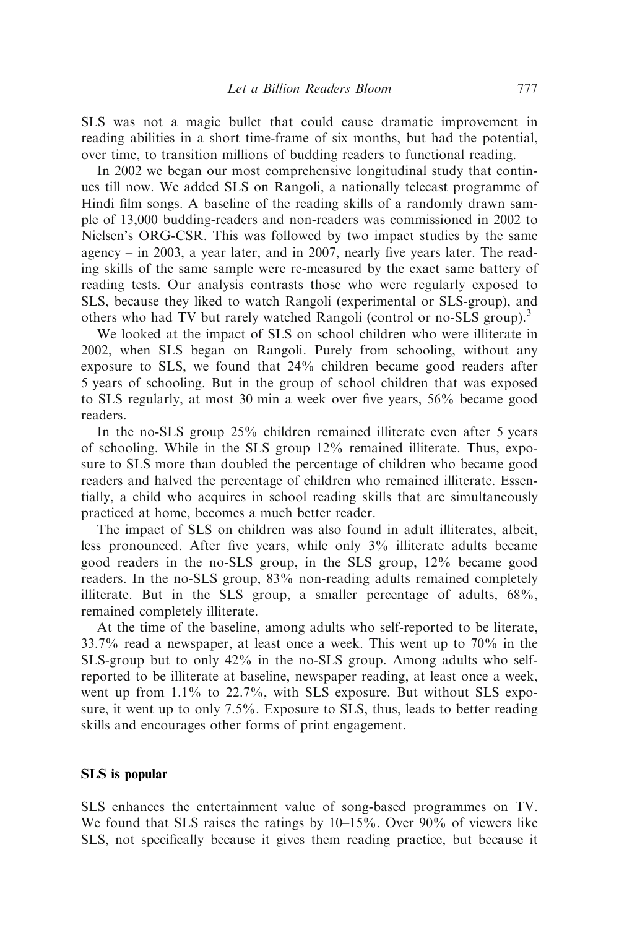SLS was not a magic bullet that could cause dramatic improvement in reading abilities in a short time-frame of six months, but had the potential, over time, to transition millions of budding readers to functional reading.

In 2002 we began our most comprehensive longitudinal study that continues till now. We added SLS on Rangoli, a nationally telecast programme of Hindi film songs. A baseline of the reading skills of a randomly drawn sample of 13,000 budding-readers and non-readers was commissioned in 2002 to Nielsen's ORG-CSR. This was followed by two impact studies by the same agency – in 2003, a year later, and in 2007, nearly five years later. The reading skills of the same sample were re-measured by the exact same battery of reading tests. Our analysis contrasts those who were regularly exposed to SLS, because they liked to watch Rangoli (experimental or SLS-group), and others who had TV but rarely watched Rangoli (control or no-SLS group).<sup>3</sup>

We looked at the impact of SLS on school children who were illiterate in 2002, when SLS began on Rangoli. Purely from schooling, without any exposure to SLS, we found that 24% children became good readers after 5 years of schooling. But in the group of school children that was exposed to SLS regularly, at most 30 min a week over five years, 56% became good readers.

In the no-SLS group 25% children remained illiterate even after 5 years of schooling. While in the SLS group 12% remained illiterate. Thus, exposure to SLS more than doubled the percentage of children who became good readers and halved the percentage of children who remained illiterate. Essentially, a child who acquires in school reading skills that are simultaneously practiced at home, becomes a much better reader.

The impact of SLS on children was also found in adult illiterates, albeit, less pronounced. After five years, while only 3% illiterate adults became good readers in the no-SLS group, in the SLS group, 12% became good readers. In the no-SLS group, 83% non-reading adults remained completely illiterate. But in the SLS group, a smaller percentage of adults, 68%, remained completely illiterate.

At the time of the baseline, among adults who self-reported to be literate, 33.7% read a newspaper, at least once a week. This went up to 70% in the SLS-group but to only 42% in the no-SLS group. Among adults who selfreported to be illiterate at baseline, newspaper reading, at least once a week, went up from 1.1% to 22.7%, with SLS exposure. But without SLS exposure, it went up to only 7.5%. Exposure to SLS, thus, leads to better reading skills and encourages other forms of print engagement.

# SLS is popular

SLS enhances the entertainment value of song-based programmes on TV. We found that SLS raises the ratings by 10–15%. Over 90% of viewers like SLS, not specifically because it gives them reading practice, but because it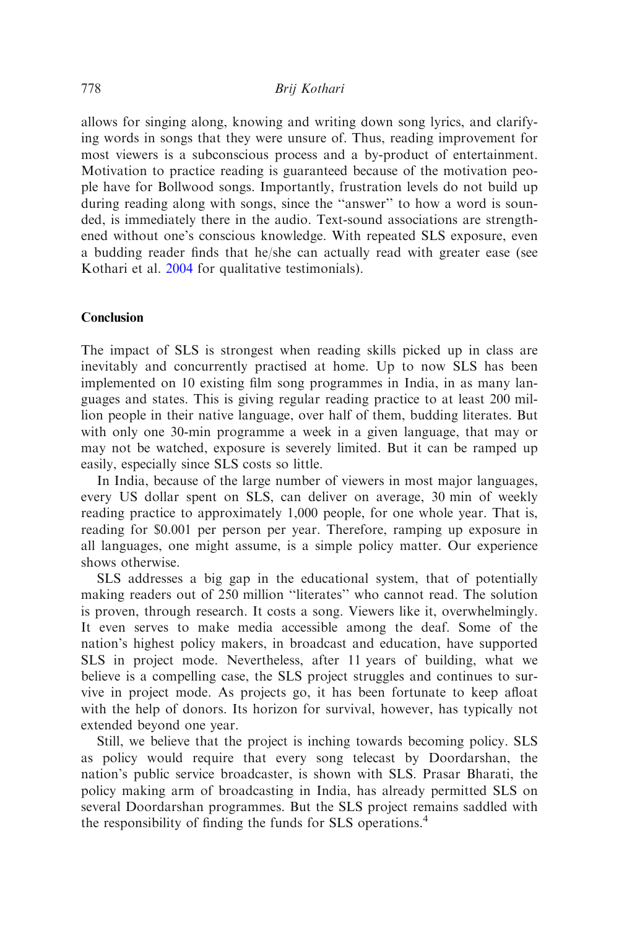allows for singing along, knowing and writing down song lyrics, and clarifying words in songs that they were unsure of. Thus, reading improvement for most viewers is a subconscious process and a by-product of entertainment. Motivation to practice reading is guaranteed because of the motivation people have for Bollwood songs. Importantly, frustration levels do not build up during reading along with songs, since the ''answer'' to how a word is sounded, is immediately there in the audio. Text-sound associations are strengthened without one's conscious knowledge. With repeated SLS exposure, even a budding reader finds that he/she can actually read with greater ease (see Kothari et al. [2004](#page-6-0) for qualitative testimonials).

# Conclusion

The impact of SLS is strongest when reading skills picked up in class are inevitably and concurrently practised at home. Up to now SLS has been implemented on 10 existing film song programmes in India, in as many languages and states. This is giving regular reading practice to at least 200 million people in their native language, over half of them, budding literates. But with only one 30-min programme a week in a given language, that may or may not be watched, exposure is severely limited. But it can be ramped up easily, especially since SLS costs so little.

In India, because of the large number of viewers in most major languages, every US dollar spent on SLS, can deliver on average, 30 min of weekly reading practice to approximately 1,000 people, for one whole year. That is, reading for \$0.001 per person per year. Therefore, ramping up exposure in all languages, one might assume, is a simple policy matter. Our experience shows otherwise.

SLS addresses a big gap in the educational system, that of potentially making readers out of 250 million ''literates'' who cannot read. The solution is proven, through research. It costs a song. Viewers like it, overwhelmingly. It even serves to make media accessible among the deaf. Some of the nation's highest policy makers, in broadcast and education, have supported SLS in project mode. Nevertheless, after 11 years of building, what we believe is a compelling case, the SLS project struggles and continues to survive in project mode. As projects go, it has been fortunate to keep afloat with the help of donors. Its horizon for survival, however, has typically not extended beyond one year.

Still, we believe that the project is inching towards becoming policy. SLS as policy would require that every song telecast by Doordarshan, the nation's public service broadcaster, is shown with SLS. Prasar Bharati, the policy making arm of broadcasting in India, has already permitted SLS on several Doordarshan programmes. But the SLS project remains saddled with the responsibility of finding the funds for SLS operations.<sup>4</sup>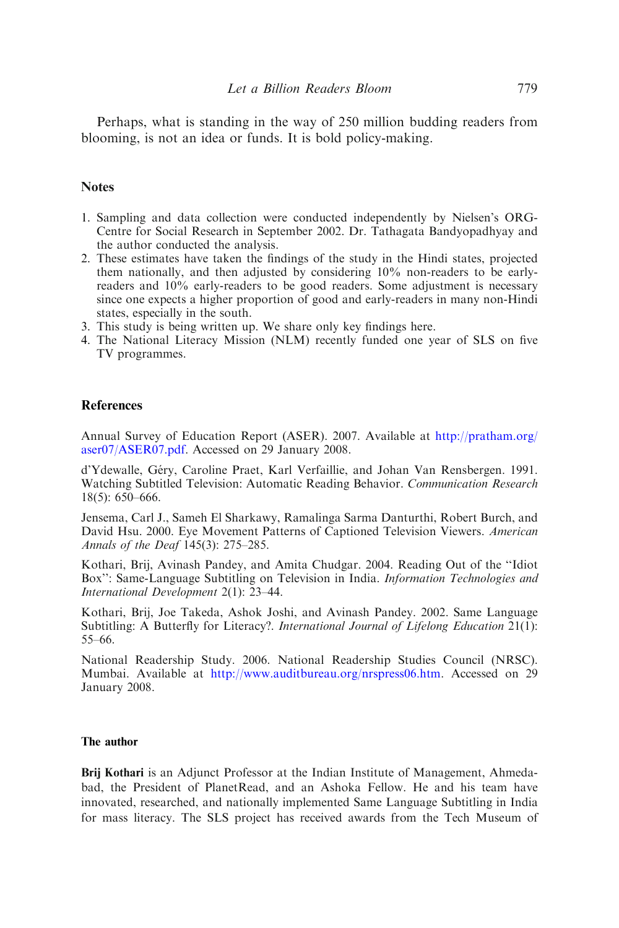<span id="page-6-0"></span>Perhaps, what is standing in the way of 250 million budding readers from blooming, is not an idea or funds. It is bold policy-making.

#### **Notes**

- 1. Sampling and data collection were conducted independently by Nielsen's ORG-Centre for Social Research in September 2002. Dr. Tathagata Bandyopadhyay and the author conducted the analysis.
- 2. These estimates have taken the findings of the study in the Hindi states, projected them nationally, and then adjusted by considering 10% non-readers to be earlyreaders and 10% early-readers to be good readers. Some adjustment is necessary since one expects a higher proportion of good and early-readers in many non-Hindi states, especially in the south.
- 3. This study is being written up. We share only key findings here.
- 4. The National Literacy Mission (NLM) recently funded one year of SLS on five TV programmes.

#### References

Annual Survey of Education Report (ASER). 2007. Available at [http://pratham.org/](http://pratham.org/aser07/ASER07.pdf) [aser07/ASER07.pdf.](http://pratham.org/aser07/ASER07.pdf) Accessed on 29 January 2008.

d'Ydewalle, Géry, Caroline Praet, Karl Verfaillie, and Johan Van Rensbergen. 1991. Watching Subtitled Television: Automatic Reading Behavior. Communication Research 18(5): 650–666.

Jensema, Carl J., Sameh El Sharkawy, Ramalinga Sarma Danturthi, Robert Burch, and David Hsu. 2000. Eye Movement Patterns of Captioned Television Viewers. American Annals of the Deaf 145(3): 275–285.

Kothari, Brij, Avinash Pandey, and Amita Chudgar. 2004. Reading Out of the ''Idiot Box'': Same-Language Subtitling on Television in India. Information Technologies and International Development 2(1): 23–44.

Kothari, Brij, Joe Takeda, Ashok Joshi, and Avinash Pandey. 2002. Same Language Subtitling: A Butterfly for Literacy?. International Journal of Lifelong Education 21(1): 55–66.

National Readership Study. 2006. National Readership Studies Council (NRSC). Mumbai. Available at [http://www.auditbureau.org/nrspress06.htm.](http://www.auditbureau.org/nrspress06.htm) Accessed on 29 January 2008.

## The author

Brij Kothari is an Adjunct Professor at the Indian Institute of Management, Ahmedabad, the President of PlanetRead, and an Ashoka Fellow. He and his team have innovated, researched, and nationally implemented Same Language Subtitling in India for mass literacy. The SLS project has received awards from the Tech Museum of